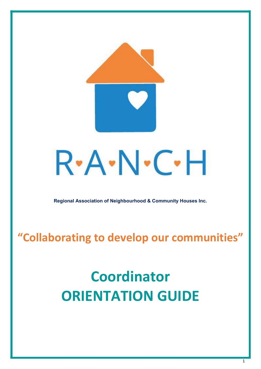

**Regional Association of Neighbourhood & Community Houses Inc.**

**"Collaborating to develop our communities"**

# **Coordinator ORIENTATION GUIDE**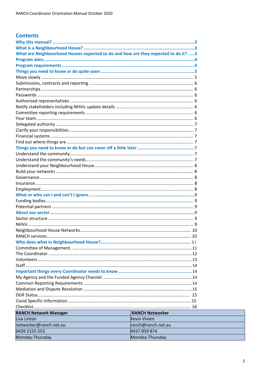|  | <b>Contents</b> |
|--|-----------------|
|  |                 |

| What are Neighbourhood Houses expected to do and how are they expected to do it? 3 |                        |  |
|------------------------------------------------------------------------------------|------------------------|--|
|                                                                                    |                        |  |
|                                                                                    |                        |  |
|                                                                                    |                        |  |
|                                                                                    |                        |  |
|                                                                                    |                        |  |
|                                                                                    |                        |  |
|                                                                                    |                        |  |
|                                                                                    |                        |  |
|                                                                                    |                        |  |
|                                                                                    |                        |  |
|                                                                                    |                        |  |
|                                                                                    |                        |  |
|                                                                                    |                        |  |
|                                                                                    |                        |  |
|                                                                                    |                        |  |
|                                                                                    |                        |  |
|                                                                                    |                        |  |
|                                                                                    |                        |  |
|                                                                                    |                        |  |
|                                                                                    |                        |  |
|                                                                                    |                        |  |
|                                                                                    |                        |  |
|                                                                                    |                        |  |
|                                                                                    |                        |  |
|                                                                                    |                        |  |
|                                                                                    |                        |  |
|                                                                                    |                        |  |
|                                                                                    |                        |  |
|                                                                                    |                        |  |
|                                                                                    |                        |  |
|                                                                                    |                        |  |
|                                                                                    |                        |  |
|                                                                                    |                        |  |
|                                                                                    |                        |  |
|                                                                                    |                        |  |
|                                                                                    |                        |  |
|                                                                                    |                        |  |
|                                                                                    |                        |  |
|                                                                                    |                        |  |
|                                                                                    |                        |  |
|                                                                                    |                        |  |
|                                                                                    |                        |  |
|                                                                                    |                        |  |
|                                                                                    |                        |  |
| <b>RANCH Network Manager</b>                                                       | <b>RANCH Networker</b> |  |
| Lisa Linton                                                                        | <b>Kevin Vivien</b>    |  |
| networker@ranch.net.au                                                             | ranch@ranch.net.au     |  |
| 0439 2155 553                                                                      | 0437 859 874           |  |
| Monday-Thursday                                                                    | Monday-Thursday        |  |
|                                                                                    |                        |  |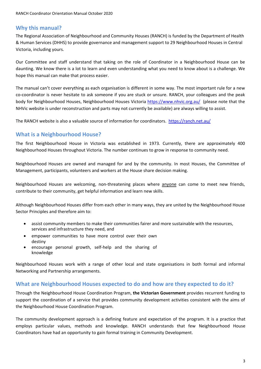# <span id="page-2-0"></span>**Why this manual?**

The Regional Association of Neighbourhood and Community Houses (RANCH) is funded by the Department of Health & Human Services (DHHS) to provide governance and management support to 29 Neighbourhood Houses in Central Victoria, including yours.

Our Committee and staff understand that taking on the role of Coordinator in a Neighbourhood House can be daunting. We know there is a lot to learn and even understanding what you need to know about is a challenge. We hope this manual can make that process easier.

The manual can't cover everything as each organisation is different in some way. The most important rule for a new co-coordinator is never hesitate to ask someone if you are stuck or unsure. RANCH, your colleagues and the peak body for Neighbourhood Houses, Neighbourhood Houses Victoria<https://www.nhvic.org.au/>(please note that the NHVic website is under reconstruction and parts may not currently be available) are always willing to assist.

The RANCH website is also a valuable source of information for coordinators.<https://ranch.net.au/>

# **What is a Neighbourhood House?**

The first Neighbourhood House in Victoria was established in 1973. Currently, there are approximately 400 Neighbourhood Houses throughout Victoria. The number continues to grow in response to community need.

Neighbourhood Houses are owned and managed for and by the community. In most Houses, the Committee of Management, participants, volunteers and workers at the House share decision making.

Neighbourhood Houses are welcoming, non-threatening places where anyone can come to meet new friends, contribute to their community, get helpful information and learn new skills.

Although Neighbourhood Houses differ from each other in many ways, they are united by the Neighbourhood House Sector Principles and therefore aim to:

- assist community members to make their communities fairer and more sustainable with the resources, services and infrastructure they need, and
- empower communities to have more control over their own destiny
- encourage personal growth, self-help and the sharing of knowledge

Neighbourhood Houses work with a range of other local and state organisations in both formal and informal Networking and Partnership arrangements.

## **What are Neighbourhood Houses expected to do and how are they expected to do it?**

Through the Neighbourhood House Coordination Program, **the Victorian Government** provides recurrent funding to support the coordination of a service that provides community development activities consistent with the aims of the Neighbourhood House Coordination Program.

The community development approach is a defining feature and expectation of the program. It is a practice that employs particular values, methods and knowledge. RANCH understands that few Neighbourhood House Coordinators have had an opportunity to gain formal training in Community Development.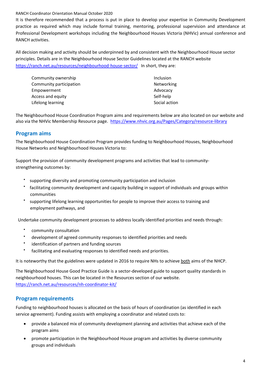It is therefore recommended that a process is put in place to develop your expertise in Community Development practice as required which may include formal training, mentoring, professional supervision and attendance at Professional Development workshops including the Neighbourhood Houses Victoria (NHVic) annual conference and RANCH activities.

<span id="page-3-0"></span>All decision making and activity should be underpinned by and consistent with the Neighbourhood House sector principles. Details are in the Neighbourhood House Sector Guidelines located at the RANCH website <https://ranch.net.au/resources/neighbourhood-house-sector/>In short, they are:

| Community ownership      | Inclusion     |
|--------------------------|---------------|
| Community participation  | Networking    |
| Empowerment              | Advocacy      |
| <b>Access and equity</b> | Self-help     |
| Lifelong learning        | Social action |

The Neighbourhood House Coordination Program aims and requirements below are also located on our website and also via the NHVic Membership Resource page. <https://www.nhvic.org.au/Pages/Category/resource-library>

# **Program aims**

The Neighbourhood House Coordination Program provides funding to Neighbourhood Houses, Neighbourhood House Networks and Neighbourhood Houses Victoria to:

Support the provision of community development programs and activities that lead to communitystrengthening outcomes by:

- supporting diversity and promoting community participation and inclusion
- facilitating community development and capacity building in support of individuals and groups within communities
- supporting lifelong learning opportunities for people to improve their access to training and employment pathways, and

Undertake community development processes to address locally identified priorities and needs through:

- community consultation
- development of agreed community responses to identified priorities and needs
- identification of partners and funding sources
- facilitating and evaluating responses to identified needs and priorities.

It is noteworthy that the guidelines were updated in 2016 to require NHs to achieve both aims of the NHCP.

[The Neighbourhood House Good Practice Guide](http://ranch.net.au/resources/nh-coordinator-kit/) is a sector-developed guide to support quality standards in neighbourhood houses. This can be located in the Resources section of our website. <https://ranch.net.au/resources/nh-coordinator-kit/>

## **Program requirements**

Funding to neighbourhood houses is allocated on the basis of hours of coordination (as identified in each service agreement). Funding assists with employing a coordinator and related costs to:

- provide a balanced mix of community development planning and activities that achieve each of the program aims
- promote participation in the Neighbourhood House program and activities by diverse community groups and individuals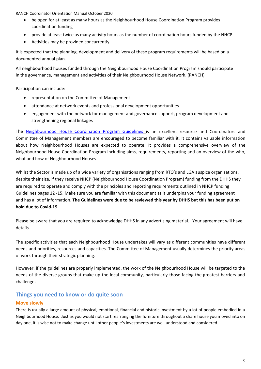- be open for at least as many hours as the Neighbourhood House Coordination Program provides coordination funding
- provide at least twice as many activity hours as the number of coordination hours funded by the NHCP
- Activities may be provided concurrently

It is expected that the planning, development and delivery of these program requirements will be based on a documented annual plan.

All neighbourhood houses funded through the Neighbourhood House Coordination Program should participate in the governance, management and activities of their Neighbourhood House Network. (RANCH)

<span id="page-4-0"></span>Participation can include:

- representation on the Committee of Management
- attendance at network events and professional development opportunities
- engagement with the network for management and governance support, program development and strengthening regional linkages

The [Neighbourhood House Coordination Program Guidelines](http://ranch.net.au/resources/nh-coordinator-kit/) is an excellent resource and Coordinators and Committee of Management members are encouraged to become familiar with it. It contains valuable information about how Neighbourhood Houses are expected to operate. It provides a comprehensive overview of the Neighbourhood House Coordination Program including aims, requirements, reporting and an overview of the who, what and how of Neighbourhood Houses.

Whilst the Sector is made up of a wide variety of organisations ranging from RTO's and LGA auspice organisations, despite their size, if they receive NHCP (Neighbourhood House Coordination Program) funding from the DHHS they are required to operate and comply with the principles and reporting requirements outlined in NHCP funding Guidelines pages 12 -15. Make sure you are familiar with this document as it underpins your funding agreement and has a lot of information. **The Guidelines were due to be reviewed this year by DHHS but this has been put on hold due to Covid-19.**

Please be aware that you are required to acknowledge DHHS in any advertising material. Your agreement will have details.

The specific activities that each Neighbourhood House undertakes will vary as different communities have different needs and priorities, resources and capacities. The Committee of Management usually determines the priority areas of work through their strategic planning.

However, if the guidelines are properly implemented, the work of the Neighbourhood House will be targeted to the needs of the diverse groups that make up the local community, particularly those facing the greatest barriers and challenges.

# **Things you need to know or do quite soon**

## **Move slowly**

There is usually a large amount of physical, emotional, financial and historic investment by a lot of people embodied in a Neighbourhood House. Just as you would not start rearranging the furniture throughout a share house you moved into on day one, it is wise not to make change until other people's investments are well understood and considered.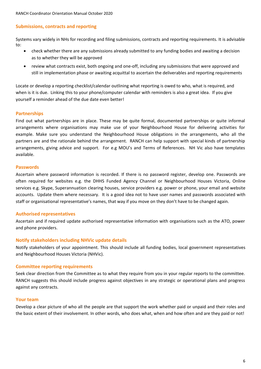#### **Submissions, contracts and reporting**

Systems vary widely in NHs for recording and filing submissions, contracts and reporting requirements. It is advisable to:

- check whether there are any submissions already submitted to any funding bodies and awaiting a decision as to whether they will be approved
- review what contracts exist, both ongoing and one-off, including any submissions that were approved and still in implementation phase or awaiting acquittal to ascertain the deliverables and reporting requirements

Locate or develop a reporting checklist/calendar outlining what reporting is owed to who, what is required, and when is it is due. Linking this to your phone/computer calendar with reminders is also a great idea. If you give yourself a reminder ahead of the due date even better!

#### **Partnerships**

Find out what partnerships are in place. These may be quite formal, documented partnerships or quite informal arrangements where organisations may make use of your Neighbourhood House for delivering activities for example. Make sure you understand the Neighbourhood House obligations in the arrangements, who all the partners are and the rationale behind the arrangement. RANCH can help support with special kinds of partnership arrangements, giving advice and support. For e.g MOU's and Terms of References. NH Vic also have templates available.

#### **Passwords**

Ascertain where password information is recorded. If there is no password register, develop one. Passwords are often required for websites e.g. the DHHS Funded Agency Channel or Neighbourhood Houses Victoria, Online services e.g. Skype, Superannuation clearing houses, service providers e.g. power or phone, your email and website accounts. Update them where necessary. It is a good idea not to have user names and passwords associated with staff or organisational representative's names, that way if you move on they don't have to be changed again.

#### **Authorised representatives**

Ascertain and if required update authorised representative information with organisations such as the ATO, power and phone providers.

#### <span id="page-5-0"></span>**Notify stakeholders including NHVic update details**

Notify stakeholders of your appointment. This should include all funding bodies, local government representatives and Neighbourhood Houses Victoria (NHVic).

#### **Committee reporting requirements**

Seek clear direction from the Committee as to what they require from you in your regular reports to the committee. RANCH suggests this should include progress against objectives in any strategic or operational plans and progress against any contracts.

#### **Your team**

Develop a clear picture of who all the people are that support the work whether paid or unpaid and their roles and the basic extent of their involvement. In other words, who does what, when and how often and are they paid or not!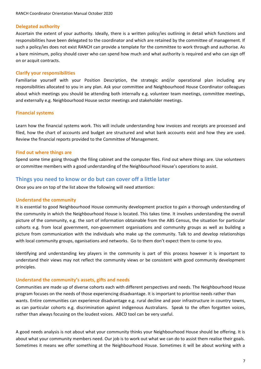#### **Delegated authority**

Ascertain the extent of your authority. Ideally, there is a written policy/ies outlining in detail which functions and responsibilities have been delegated to the coordinator and which are retained by the committee of management. If such a policy/ies does not exist RANCH can provide a template for the committee to work through and authorise. As a bare minimum, policy should cover who can spend how much and what authority is required and who can sign off on or acquit contracts.

#### **Clarify your responsibilities**

Familiarise yourself with your Position Description, the strategic and/or operational plan including any responsibilities allocated to you in any plan. Ask your committee and Neighbourhood House Coordinator colleagues about which meetings you should be attending both internally e.g. volunteer team meetings, committee meetings, and externally e.g. Neighbourhood House sector meetings and stakeholder meetings.

#### **Financial systems**

Learn how the financial systems work. This will include understanding how invoices and receipts are processed and filed, how the chart of accounts and budget are structured and what bank accounts exist and how they are used. Review the financial reports provided to the Committee of Management.

#### **Find out where things are**

Spend some time going through the filing cabinet and the computer files. Find out where things are. Use volunteers or committee members with a good understanding of the Neighbourhood House's operations to assist.

## **Things you need to know or do but can cover off a little later**

Once you are on top of the list above the following will need attention:

#### **Understand the community**

It is essential to good Neighbourhood House community development practice to gain a thorough understanding of the community in which the Neighbourhood House is located. This takes time. It involves understanding the overall picture of the community, e.g. the sort of information obtainable from the ABS Census, the situation for particular cohorts e.g. from local government, non-government organisations and community groups as well as building a picture from communication with the individuals who make up the community. Talk to and develop relationships with local community groups, oganisations and networks. Go to them don't expect them to come to you.

Identifying and understanding key players in the community is part of this process however it is important to understand their views may not reflect the community views or be consistent with good community development principles.

#### **Understand the community's assets, gifts and needs**

<span id="page-6-0"></span>Communities are made up of diverse cohorts each with different perspectives and needs. The Neighbourhood House program focuses on the needs of those experiencing disadvantage. It is important to prioritise needs rather than wants. Entire communities can experience disadvantage e.g. rural decline and poor infrastructure in country towns, as can particular cohorts e.g. discrimination against indigenous Australians. Speak to the often forgotten voices, rather than always focusing on the loudest voices. ABCD tool can be very useful.

A good needs analysis is not about what your community thinks your Neighbourhood House should be offering. It is about what your community members need. Our job is to work out what we can do to assist them realise their goals. Sometimes it means we offer something at the Neighbourhood House. Sometimes it will be about working with a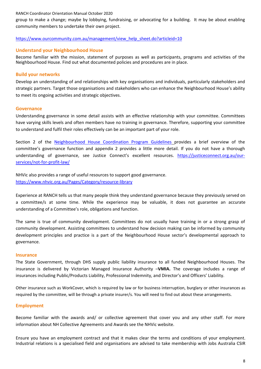group to make a change; maybe by lobbying, fundraising, or advocating for a building. It may be about enabling community members to undertake their own project.

#### [https://www.ourcommunity.com.au/management/view\\_help\\_sheet.do?articleid=10](https://www.ourcommunity.com.au/management/view_help_sheet.do?articleid=10)

#### **Understand your Neighbourhood House**

Become familiar with the mission, statement of purposes as well as participants, programs and activities of the Neighbourhood House. Find out what documented policies and procedures are in place.

#### **Build your networks**

Develop an understanding of and relationships with key organisations and individuals, particularly stakeholders and strategic partners. Target those organisations and stakeholders who can enhance the Neighbourhood House's ability to meet its ongoing activities and strategic objectives.

#### **Governance**

Understanding governance in some detail assists with an effective relationship with your committee. Committees have varying skills levels and often members have no training in governance. Therefore, supporting your committee to understand and fulfil their roles effectively can be an important part of your role.

Section 2 of the [Neighbourhood House Coordination Program Guidelines](http://ranch.net.au/resources/nh-coordinator-kit/) provides a brief overview of the committee's governance function and appendix 2 provides a little more detail. If you do not have a thorough understanding of governance, see Justice Connect's excellent resources. [https://justiceconnect.org.au/our](https://justiceconnect.org.au/our-services/not-for-profit-law/)[services/not-for-profit-law/](https://justiceconnect.org.au/our-services/not-for-profit-law/)

NHVic also provides a range of useful resources to support good governance. <https://www.nhvic.org.au/Pages/Category/resource-library>

Experience at RANCH tells us that many people think they understand governance because they previously served on a committee/s at some time. While the experience may be valuable, it does not guarantee an accurate understanding of a Committee's role, obligations and function.

The same is true of community development. Committees do not usually have training in or a strong grasp of community development. Assisting committees to understand how decision making can be informed by community development principles and practice is a part of the Neighbourhood House sector's developmental approach to governance.

#### **Insurance**

The State Government, through DHS supply public liability insurance to all funded Neighbourhood Houses. The insurance is delivered by Victorian Managed Insurance Authority –**VMIA.** The coverage includes a range of insurances including Public/Products Liability, Professional Indemnity, and Director's and Officers' Liability.

Other insurance such as WorkCover, which is required by law or for business interruption, burglary or other insurances as required by the committee, will be through a private insurer/s. You will need to find out about these arrangements.

#### <span id="page-7-0"></span>**Employment**

Become familiar with the awards and/ or collective agreement that cover you and any other staff. For more information about NH Collective Agreements and Awards see the NHVic website.

Ensure you have an employment contract and that it makes clear the terms and conditions of your employment. Industrial relations is a specialised field and organisations are advised to take membership with Jobs Australia CSIR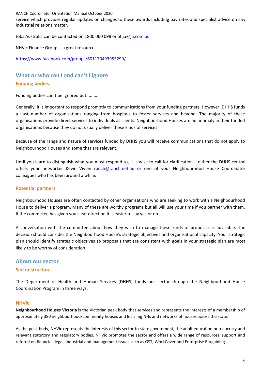service which provides regular updates on changes to these awards including pay rates and specialist advice on any industrial relations matter.

Jobs Australia can be contacted on 1800 060 098 or at [ja@ja.com.au](mailto:ja@ja.com.au)

NHVic Finance Group is a great resource

<https://www.facebook.com/groups/601170493955299/>

# **What or who can I and can't I ignore Funding bodies**

Funding bodies can't be ignored but..........

Generally, it is important to respond promptly to communications from your funding partners. However, DHHS funds a vast number of organisations ranging from hospitals to foster services and beyond. The majority of these organisations provide direct services to individuals as clients. Neighbourhood Houses are an anomaly in their funded organisations because they do not usually deliver these kinds of services.

Because of the range and nature of services funded by DHHS you will receive communications that do not apply to Neighbourhood Houses and some that are relevant.

Until you learn to distinguish what you must respond to, it is wise to call for clarification – either the DHHS central office, your networker Kevin Vivien [ranch@ranch.net.au](mailto:ranch@ranch.net.au) or one of your Neighbourhood House Coordinator colleagues who has been around a while.

#### **Potential partners**

Neighbourhood Houses are often contacted by other organisations who are seeking to work with a Neighbourhood House to deliver a program. Many of these are worthy programs but all will use your time if you partner with them. If the committee has given you clear direction it is easier to say yes or no.

A conversation with the committee about how they wish to manage these kinds of proposals is advisable. The decision should consider the Neighbourhood House's strategic objectives and organisational capacity. Your strategic plan should identify strategic objectives so proposals that are consistent with goals in your strategic plan are most likely to be worthy of consideration.

# **About our sector**

#### **Sector structure**

The Department of Health and Human Services (DHHS) funds our sector through the Neighbourhood House Coordination Program in three ways.

#### **NHVic**

**Neighbourhood Houses Victoria** is the Victorian peak body that services and represents the interests of a membership of approximately 380 neighbourhood/community houses and learning NHs and networks of houses across the state.

As the peak body, NHVic represents the interests of this sector to state government, the adult education bureaucracy and relevant statutory and regulatory bodies. NHVic promotes the sector and offers a wide range of resources, support and referral on financial, legal, industrial and management issues such as GST, WorkCover and Enterprise Bargaining.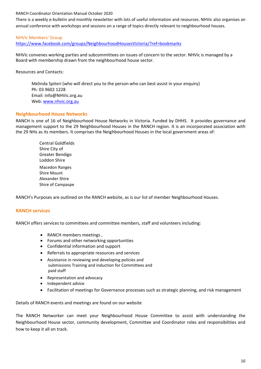There is a weekly e-bulletin and monthly newsletter with lots of useful information and resources. NHVic also organises an annual conference with workshops and sessions on a range of topics directly relevant to neighbourhood houses.

#### NHVic Members' Group

<https://www.facebook.com/groups/NeighbourhoodHousesVictoria/?ref=bookmarks>

<span id="page-9-0"></span>NHVic convenes working parties and subcommittees on issues of concern to the sector. NHVic is managed by a Board with membership drawn from the neighbourhood house sector.

Resources and Contacts:

Melinda Spiteri (who will direct you to the person who can best assist in your enquiry) Ph: 03 9602 1228 Email: info@NHVic.org.au Web: [www.nhvic.org.au](http://www.nhvic.org.au/)

#### **Neighbourhood House Networks**

RANCH is one of 16 of Neighbourhood House Networks in Victoria. Funded by DHHS. It provides governance and management support to the 29 Neighbourhood Houses in the RANCH region. It is an incorporated association with the 29 NHs as its members. It comprises the Neighbourhood Houses in the local government areas of:

> Central Goldfields Shire City of Greater Bendigo Loddon Shire Macedon Ranges Shire Mount Alexander Shire Shire of Campaspe

RANCH's Purposes are outlined on the RANCH website, as is our list of member Neighbourhood Houses.

#### **RANCH services**

RANCH offers services to committees and committee members, staff and volunteers including:

- RANCH members meetings ,
- Forums and other networking opportunities
- Confidential information and support
- Referrals to appropriate resources and services
- Assistance in reviewing and developing policies and submissions Training and induction for Committees and paid staff
- Representation and advocacy
- Independent advice
- Facilitation of meetings for Governance processes such as strategic planning, and risk management

Details of RANCH events and meetings are found on our website

The RANCH Networker can meet your Neighbourhood House Committee to assist with understanding the Neighbourhood House sector, community development, Committee and Coordinator roles and responsibilities and how to keep it all on track.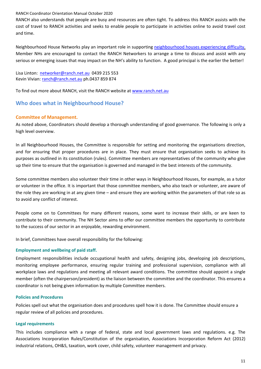RANCH also understands that people are busy and resources are often tight. To address this RANCH assists with the cost of travel to RANCH activities and seeks to enable people to participate in activities online to avoid travel cost and time.

Neighbourhood House Networks play an important role in supporting [neighbourhood houses experiencing difficulty.](http://ranch.net.au/resources/support-nhs-experiencing-difficulty/) Member NHs are encouraged to contact the RANCH Networkers to arrange a time to discuss and assist with any serious or emerging issues that may impact on the NH's ability to function. A good principal is the earlier the better!

Lisa Linton: [networker@ranch.net.au](mailto:networker@ranch.net.au) 0439 215 553 Kevin Vivian[: ranch@ranch.net.au](mailto:ranch@ranch.net.au) ph.0437 859 874

To find out more about RANCH, visit the RANCH website at [www.ranch.net.au](http://www.ranch.net.au/)

# <span id="page-10-0"></span>**Who does what in Neighbourhood House?**

#### **Committee of Management.**

As noted above, Coordinators should develop a thorough understanding of good governance. The following is only a high level overview.

In all Neighbourhood Houses, the Committee is responsible for setting and monitoring the organisations direction, and for ensuring that proper procedures are in place. They must ensure that organisation seeks to achieve its purposes as outlined in its constitution (rules). Committee members are representatives of the community who give up their time to ensure that the organisation is governed and managed in the best interests of the community.

Some committee members also volunteer their time in other ways in Neighbourhood Houses, for example, as a tutor or volunteer in the office. It is important that those committee members, who also teach or volunteer, are aware of the role they are working in at any given time – and ensure they are working within the parameters of that role so as to avoid any conflict of interest.

People come on to Committees for many different reasons, some want to increase their skills, or are keen to contribute to their community. The NH Sector aims to offer our committee members the opportunity to contribute to the success of our sector in an enjoyable, rewarding environment.

In brief, Committees have overall responsibility for the following:

#### **Employment and wellbeing of paid staff.**

Employment responsibilities include occupational health and safety, designing jobs, developing job descriptions, monitoring employee performance, ensuring regular training and professional supervision, compliance with all workplace laws and regulations and meeting all relevant award conditions. The committee should appoint a single member (often the chairperson/president) as the liaison between the committee and the coordinator. This ensures a coordinator is not being given information by multiple Committee members.

#### **Policies and Procedures**

Policies spell out what the organisation does and procedures spell how it is done. The Committee should ensure a regular review of all policies and procedures.

#### **Legal requirements**

This includes compliance with a range of federal, state and local government laws and regulations. e.g. The Associations Incorporation Rules/Constitution of the organisation, Associations Incorporation Reform Act (2012) industrial relations, OH&S, taxation, work cover, child safety, volunteer management and privacy.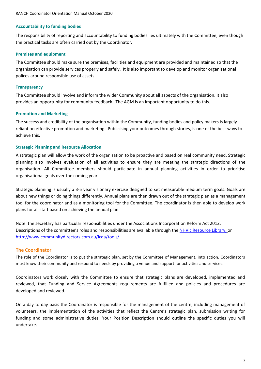#### **Accountability to funding bodies**

The responsibility of reporting and accountability to funding bodies lies ultimately with the Committee, even though the practical tasks are often carried out by the Coordinator.

#### **Premises and equipment**

The Committee should make sure the premises, facilities and equipment are provided and maintained so that the organisation can provide services properly and safely. It is also important to develop and monitor organisational polices around responsible use of assets.

#### <span id="page-11-0"></span>**Transparency**

The Committee should involve and inform the wider Community about all aspects of the organisation. It also provides an opportunity for community feedback. The AGM is an important opportunity to do this.

#### **Promotion and Marketing**

The success and credibility of the organisation within the Community, funding bodies and policy makers is largely reliant on effective promotion and marketing. Publicising your outcomes through stories, is one of the best ways to achieve this.

#### **Strategic Planning and Resource Allocation**

A strategic plan will allow the work of the organisation to be proactive and based on real community need. Strategic planning also involves evaluation of all activities to ensure they are meeting the strategic directions of the organisation. All Committee members should participate in annual planning activities in order to prioritise organisational goals over the coming year.

Strategic planning is usually a 3-5 year visionary exercise designed to set measurable medium term goals. Goals are about new things or doing things differently. Annual plans are then drawn out of the strategic plan as a management tool for the coordinator and as a monitoring tool for the Committee. The coordinator is then able to develop work plans for all staff based on achieving the annual plan.

Note: the secretary has particular responsibilities under the Associations Incorporation Reform Act 2012. Descriptions of the committee's roles and responsibilities are available through th[e NHVic Resource Library,](https://www.nhvicresourcelibrary.com/governance) or [http://www.communitydirectors.com.au/icda/tools/.](http://www.communitydirectors.com.au/icda/tools/)

#### **The Coordinator**

The role of the Coordinator is to put the strategic plan, set by the Committee of Management, into action. Coordinators must know their community and respond to needs by providing a venue and support for activities and services.

Coordinators work closely with the Committee to ensure that strategic plans are developed, implemented and reviewed, that Funding and Service Agreements requirements are fulfilled and policies and procedures are developed and reviewed.

On a day to day basis the Coordinator is responsible for the management of the centre, including management of volunteers, the implementation of the activities that reflect the Centre's strategic plan, submission writing for funding and some administrative duties. Your Position Description should outline the specific duties you will undertake.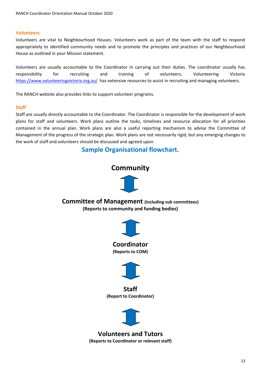#### **Volunteers**

Volunteers are vital to Neighbourhood Houses. Volunteers work as part of the team with the staff to respond appropriately to identified community needs and to promote the principles and practices of our Neighbourhood House as outlined in your Mission statement.

Volunteers are usually accountable to the Coordinator in carrying out their duties. The coordinator usually has responsibility for recruiting and training of volunteers**.** Volunteering Victoria <https://www.volunteeringvictoria.org.au/>has extensive resources to assist in recruiting and managing volunteers.

The RANCH website also provides links to support volunteer programs.

#### **Staff**

<span id="page-12-0"></span>Staff are usually directly accountable to the Coordinator. The Coordinator is responsible for the development of work plans for staff and volunteers. Work plans outline the tasks, timelines and resource allocation for all priorities contained in the annual plan. Work plans are also a useful reporting mechanism to advise the Committee of Management of the progress of the strategic plan. Work plans are not necessarily rigid, but any emerging changes to the work of staff and volunteers should be discussed and agreed upon.

# **Sample Organisational flowchart.**

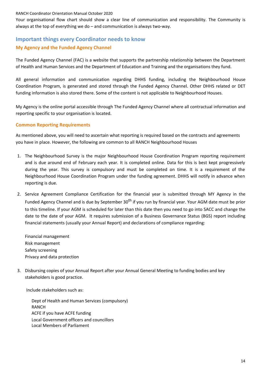Your organisational flow chart should show a clear line of communication and responsibility. The Community is always at the top of everything we do – and communication is always two-way.

# **Important things every Coordinator needs to know My Agency and the Funded Agency Channel**

The Funded Agency Channel (FAC) is a website that supports the partnership relationship between the Department of Health and Human Services and the Department of Education and Training and the organisations they fund.

All general information and communication regarding DHHS funding, including the Neighbourhood House Coordination Program, is generated and stored through the Funded Agency Channel. Other DHHS related or DET funding information is also stored there. Some of the content is not applicable to Neighbourhood Houses.

My Agency is the online portal accessible through The Funded Agency Channel where all contractual information and reporting specific to your organisation is located.

#### **Common Reporting Requirements**

<span id="page-13-0"></span>As mentioned above, you will need to ascertain what reporting is required based on the contracts and agreements you have in place. However, the following are common to all RANCH Neighbourhood Houses

- 1. The Neighbourhood Survey is the major Neighbourhood House Coordination Program reporting requirement and is due around end of February each year. It is completed online. Data for this is best kept progressively during the year. This survey is compulsory and must be completed on time. It is a requirement of the Neighbourhood House Coordination Program under the funding agreement. DHHS will notify in advance when reporting is due.
- 2. Service Agreement Compliance Certification for the financial year is submitted through MY Agency in the Funded Agency Channel and is due by September 30<sup>th</sup> if you run by financial year. Your AGM date must be prior to this timeline. If your AGM is scheduled for later than this date then you need to go into SACC and change the date to the date of your AGM. It requires submission of a Business Governance Status (BGS) report including financial statements (usually your Annual Report) and declarations of compliance regarding:

Financial management Risk management Safety screening Privacy and data protection

3. Disbursing copies of your Annual Report after your Annual General Meeting to funding bodies and key stakeholders is good practice.

Include stakeholders such as:

Dept of Health and Human Services (compulsory) RANCH ACFE if you have ACFE funding Local Government officers and councillors Local Members of Parliament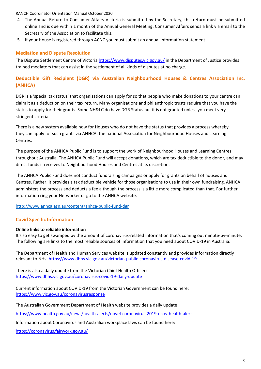- 4. The Annual Return to Consumer Affairs Victoria is submitted by the Secretary; this return must be submitted online and is due within 1 month of the Annual General Meeting. Consumer Affairs sends a link via email to the Secretary of the Association to facilitate this.
- 5. If your House is registered through ACNC you must submit an annual information statement

## **Mediation and Dispute Resolution**

The Dispute Settlement Centre of Victoria<https://www.disputes.vic.gov.au/>in the Department of Justice provides trained mediators that can assist in the settlement of all kinds of disputes at no charge.

# **Deductible Gift Recipient (DGR) via Australian Neighbourhood Houses & Centres Association Inc. (ANHCA)**

DGR is a 'special tax status' that organisations can apply for so that people who make donations to your centre can claim it as a deduction on their tax return. Many organisations and philanthropic trusts require that you have the status to apply for their grants. Some NH&LC do have DGR Status but it is not granted unless you meet very stringent criteria.

There is a new system available now for Houses who do not have the status that provides a process whereby they can apply for such grants via ANHCA, the national Association for Neighbourhood Houses and Learning Centres.

The purpose of the ANHCA Public Fund is to support the work of Neighbourhood Houses and Learning Centres throughout Australia. The ANHCA Public Fund will accept donations, which are tax deductible to the donor, and may direct funds it receives to Neighbourhood Houses and Centres at its discretion.

The ANHCA Public Fund does not conduct fundraising campaigns or apply for grants on behalf of houses and Centres. Rather, it provides a tax deductible vehicle for those organisations to use in their own fundraising. ANHCA administers the process and deducts a fee although the process is a little more complicated than that. For further information ring your Networker or go to the ANHCA website.

<http://www.anhca.asn.au/content/anhca-public-fund-dgr>

## **Covid Specific Information**

#### **Online links to reliable information**

It's so easy to get swamped by the amount of coronavirus-related information that's coming out minute-by-minute. The following are links to the most reliable sources of information that you need about COVID-19 in Australia:

The Department of Health and Human Services website is updated constantly and provides information directly relevant to NHs:<https://www.dhhs.vic.gov.au/victorian-public-coronavirus-disease-covid-19>

There is also a daily update from the Victorian Chief Health Officer: <https://www.dhhs.vic.gov.au/coronavirus-covid-19-daily-update>

Current information about COVID-19 from the Victorian Government can be found here: <https://www.vic.gov.au/coronavirusresponse>

The Australian Government Department of Health website provides a daily update

<https://www.health.gov.au/news/health-alerts/novel-coronavirus-2019-ncov-health-alert>

Information about Coronavirus and Australian workplace laws can be found here:

<https://coronavirus.fairwork.gov.au/>